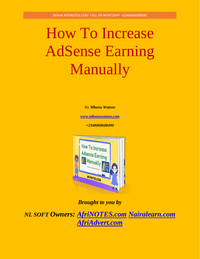# How To Increase AdSense Earning Manually

By *Mbonu Watson*

*[www.mbonuwatson.com](http://www.mbonuwatson.com/)*

*+2348068608490*



*Brought to you by* 

*NL SOFT Owners: [AfriNOTES.com](https://afrinotes.com/) [Nairalearn.com](https://nairalearn.com/) [AfriAdvert.com](https://afriadvert.com/)*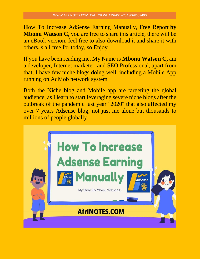**H**ow To Increase AdSense Earning Manually, Free Report **by Mbonu Watson C**, you are free to share this article, there will be an eBook version, feel free to also download it and share it with others. s all free for today, so Enjoy

If you have been reading me, My Name is **Mbonu Watson C,** am a developer, Internet marketer, and SEO Professional, apart from that, I have few niche blogs doing well, including a Mobile App running on AdMob network system

Both the Niche blog and Mobile app are targeting the global audience, as I learn to start leveraging severe niche blogs after the outbreak of the pandemic last year ''2020'' that also affected my over 7 years Adsense blog, not just me alone but thousands to millions of people globally

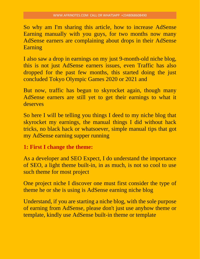So why am I'm sharing this article, how to increase AdSense Earning manually with you guys, for two months now many AdSense earners are complaining about drops in their AdSense Earning

I also saw a drop in earnings on my just 9-month-old niche blog, this is not just AdSense earners issues, even Traffic has also dropped for the past few months, this started doing the just concluded Tokyo Olympic Games 2020 or 2021 and

But now, traffic has begun to skyrocket again, though many AdSense earners are still yet to get their earnings to what it deserves

So here I will be telling you things I deed to my niche blog that skyrocket my earnings, the manual things I did without hack tricks, no black hack or whatsoever, simple manual tips that got my AdSense earning supper running

# **1: First I change the theme:**

As a developer and SEO Expect, I do understand the importance of SEO, a light theme built-in, in as much, is not so cool to use such theme for most project

One project niche I discover one must first consider the type of theme he or she is using is AdSense earning niche blog

Understand, if you are starting a niche blog, with the sole purpose of earning from AdSense, please don't just use anyhow theme or template, kindly use AdSense built-in theme or template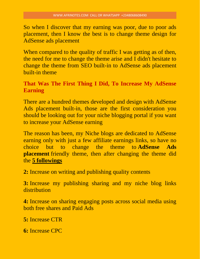So when I discover that my earning was poor, due to poor ads placement, then I know the best is to change theme design for AdSense ads placement

When compared to the quality of traffic I was getting as of then, the need for me to change the theme arise and I didn't hesitate to change the theme from SEO built-in to AdSense ads placement built-in theme

# **That Was The First Thing I Did, To Increase My AdSense Earning**

There are a hundred themes developed and design with AdSense Ads placement built-in, those are the first consideration you should be looking out for your niche blogging portal if you want to increase your AdSense earning

The reason has been, my Niche blogs are dedicated to AdSense earning only with just a few affiliate earnings links, so have no choice but to change the theme to **AdSense Ads placement** friendly theme, then after changing the theme did the **5 followings**

**2:** Increase on writing and publishing quality contents

**3:** Increase my publishing sharing and my niche blog links distribution

**4:** Increase on sharing engaging posts across social media using both free shares and Paid Ads

**5:** Increase CTR

**6:** Increase CPC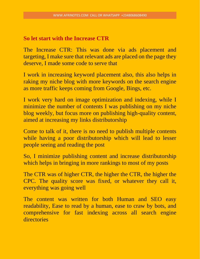#### **So let start with the Increase CTR**

The Increase CTR: This was done via ads placement and targeting, I make sure that relevant ads are placed on the page they deserve, I made some code to serve that

I work in increasing keyword placement also, this also helps in raking my niche blog with more keywords on the search engine as more traffic keeps coming from Google, Bings, etc.

I work very hard on image optimization and indexing, while I minimize the number of contents I was publishing on my niche blog weekly, but focus more on publishing high-quality content, aimed at increasing my links distributorship

Come to talk of it, there is no need to publish multiple contents while having a poor distributorship which will lead to lesser people seeing and reading the post

So, I minimize publishing content and increase distributorship which helps in bringing in more rankings to most of my posts

The CTR was of higher CTR, the higher the CTR, the higher the CPC. The quality score was fixed, or whatever they call it, everything was going well

The content was written for both Human and SEO easy readability, Ease to read by a human, ease to craw by bots, and comprehensive for fast indexing across all search engine directories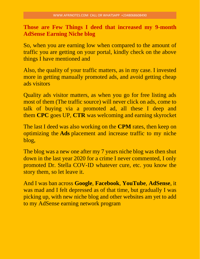**Those are Few Things I deed that increased my 9-month AdSense Earning Niche blog**

So, when you are earning low when compared to the amount of traffic you are getting on your portal, kindly check on the above things I have mentioned and

Also, the quality of your traffic matters, as in my case. I invested more in getting manually promoted ads, and avoid getting cheap ads visitors

Quality ads visitor matters, as when you go for free listing ads most of them (The traffic source) will never click on ads, come to talk of buying via a promoted ad, all these I deep and them **CPC** goes UP, **CTR** was welcoming and earning skyrocket

The last I deed was also working on the **CPM** rates, then keep on optimizing the **Ads** placement and increase traffic to my niche blog,

The blog was a new one after my 7 years niche blog was then shut down in the last year 2020 for a crime I never commented, I only promoted Dr. Stella COV-ID whatever cure, etc. you know the story them, so let leave it.

And I was ban across **Google**, **Facebook**, **YouTube**, **AdSense**, it was mad and I felt depressed as of that time, but gradually I was picking up, with new niche blog and other websites am yet to add to my AdSense earning network program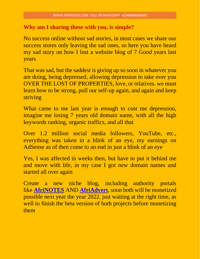# **Why am I sharing these with you, is simple?**

No success online without sad stories, in most cases we share our success stores only leaving the sad ones, so here you have heard my sad story on how I lost a website blog of 7 Good years last years

That was sad, but the saddest is giving up so soon in whatever you are doing, being depressed, allowing depression to take over you OVER THE LOST OF PROPERTIES, love, or relatives. we must learn how to be strong, pull our self-up again, and again and keep striving

What came to me last year is enough to cost me depression, imagine me losing 7 years old domain name, with all the high keywords ranking, organic traffics, and all that

Over 1.2 million social media followers, YouTube, etc., everything was taken in a blink of an eye, my earnings on AdSense as of then come to an end in just a blink of an eye

Yes, I was affected in weeks then, but have to put it behind me and move with life, in my case I got new domain names and started all over again

Create a new niche blog, including authority portals like **[AfriNOTES](https://afrinotes.com/)** AND **[AfriAdvert](https://afriadvert.com/)**, soon both will be monetized possible next year the year 2022. just waiting at the right time, as well to finish the beta version of both projects before monetizing them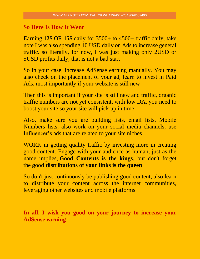#### **So Here Is How It Went**

Earning **12\$** OR **15\$** daily for 3500+ to 4500+ traffic daily, take note I was also spending 10 USD daily on Ads to increase general traffic. so literally, for now, I was just making only 2USD or 5USD profits daily, that is not a bad start

So in your case, increase AdSense earning manually. You may also check on the placement of your ad, learn to invest in Paid Ads, most importantly if your website is still new

Then this is important if your site is still new and traffic, organic traffic numbers are not yet consistent, with low DA, you need to boost your site so your site will pick up in time

Also, make sure you are building lists, email lists, Mobile Numbers lists, also work on your social media channels, use Influencer's ads that are related to your site niches

WORK in getting quality traffic by investing more in creating good content. Engage with your audience as human, just as the name implies, **Good Contents is the kings**, but don't forget the **good distributions of your links is the queen**

So don't just continuously be publishing good content, also learn to distribute your content across the internet communities, leveraging other websites and mobile platforms

**In all, I wish you good on your journey to increase your AdSense earning**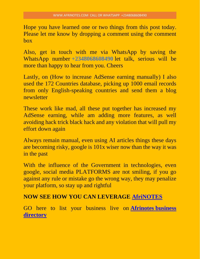Hope you have learned one or two things from this post today. Please let me know by dropping a comment using the comment box

Also, get in touch with me via WhatsApp by saving the WhatsApp number **+2348068608490** let talk, serious will be more than happy to hear from you. Cheers

Lastly, on (How to increase AdSense earning manually) I also used the 172 Countries database, picking up 1000 email records from only English-speaking countries and send them a blog newsletter

These work like mad, all these put together has increased my AdSense earning, while am adding more features, as well avoiding hack trick black hack and any violation that will pull my effort down again

Always remain manual, even using AI articles things these days are becoming risky, google is 101x wiser now than the way it was in the past

With the influence of the Government in technologies, even google, social media PLATFORMS are not smiling, if you go against any rule or mistake go the wrong way, they may penalize your platform, so stay up and rightful

# **NOW SEE HOW YOU CAN LEVERAGE [AfriNOTES](https://afrinotes.com/)**

GO here to list your business live on **[Afrinotes](https://afrinotes.com/directory/) business [directory](https://afrinotes.com/directory/)**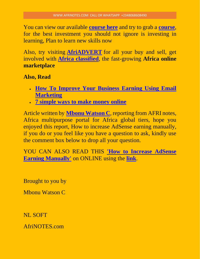You can view our available **[course here](https://afrinotes.com/ulp_course/)** and try to grab a **[course](https://afrinotes.com/ulp_course/)**, for the best investment you should not ignore is investing in learning, Plan to learn new skills now

Also, try visiting **[AfriADVERT](https://afriadvert.com/)** for all your buy and sell, get involved with **[Africa classified](https://afriadvert.com/countries)**, the fast-growing **Africa online marketplace**

#### **Also, Read**

- **[How To Improve Your Business Earning Using Email](https://afrinotes.com/how-to-improve-your-business-earning-using-email-marketing/)  [Marketing](https://afrinotes.com/how-to-improve-your-business-earning-using-email-marketing/)**
- **[7 simple ways to make money online](https://afrinotes.com/7-simple-ways-to-make-money-online/)**

Article written by **[Mbonu Watson C](https://mbonuwatson.com/)**, reporting from AFRI notes, Africa multipurpose portal for Africa global tiers, hope you enjoyed this report, How to increase AdSense earning manually, if you do or you feel like you have a question to ask, kindly use the comment box below to drop all your question.

YOU CAN ALSO READ THIS **'How to [Increase AdSense](https://afrinotes.com/how-to-increase-adsense-earning-manually/)  [Earning Manually'](https://afrinotes.com/how-to-increase-adsense-earning-manually/)** on ONLINE using the **[link](https://afrinotes.com/how-to-increase-adsense-earning-manually/)**.

Brought to you by

Mbonu Watson C

NL SOFT

AfriNOTES.com